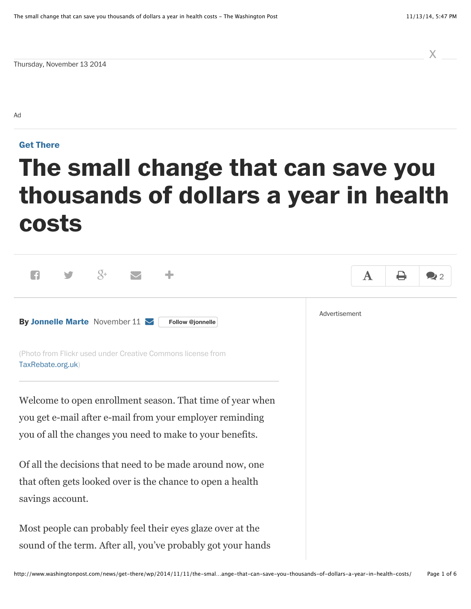x

Thursday, November 13 2014

Ad

## **[Get There](http://www.washingtonpost.com/news/get-there)**

# **The small change that can save you thousands of dollars a year in health costs**

| $\overline{Q}$ +                                                                                                                            | ${\bf A}$ | ⇔ | 22 |
|---------------------------------------------------------------------------------------------------------------------------------------------|-----------|---|----|
| Advertisement<br>By Jonnelle Marte November 11 $\triangleright$<br>Follow @jonnelle                                                         |           |   |    |
| (Photo from Flickr used under Creative Commons license from<br>TaxRebate.org.uk)                                                            |           |   |    |
| Welcome to open enrollment season. That time of year when<br>you get e-mail after e-mail from your employer reminding                       |           |   |    |
| you of all the changes you need to make to your benefits.                                                                                   |           |   |    |
| Of all the decisions that need to be made around now, one<br>that often gets looked over is the chance to open a health<br>savings account. |           |   |    |
| Most people can probably feel their eyes glaze over at the<br>sound of the term. After all, you've probably got your hands                  |           |   |    |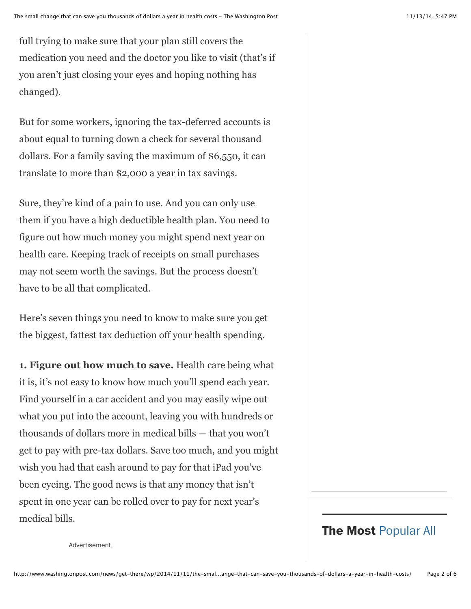full trying to make sure that your plan still covers the medication you need and the doctor you like to visit (that's if you aren't just closing your eyes and hoping nothing has changed).

But for some workers, ignoring the tax-deferred accounts is about equal to turning down a check for several thousand dollars. For a family saving the maximum of \$6,550, it can translate to more than \$2,000 a year in tax savings.

Sure, they're kind of a pain to use. And you can only use them if you have a high deductible health plan. You need to figure out how much money you might spend next year on health care. Keeping track of receipts on small purchases may not seem worth the savings. But the process doesn't have to be all that complicated.

Here's seven things you need to know to make sure you get the biggest, fattest tax deduction off your health spending.

**1. Figure out how much to save.** Health care being what it is, it's not easy to know how much you'll spend each year. Find yourself in a car accident and you may easily wipe out what you put into the account, leaving you with hundreds or thousands of dollars more in medical bills — that you won't get to pay with pre-tax dollars. Save too much, and you might wish you had that cash around to pay for that iPad you've been eyeing. The good news is that any money that isn't spent in one year can be rolled over to pay for next year's medical bills.

# **The Most** [Popular All](http://www.washingtonpost.com/themost?tid=themost_sb_header)

Advertisement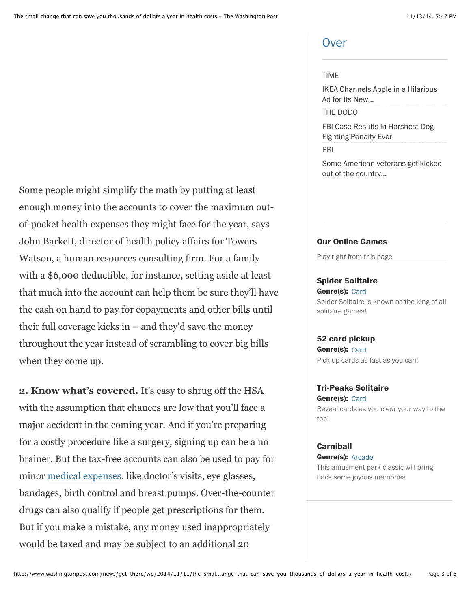# **[Over](http://www.washingtonpost.com/themost?tid=themost_sb_header)**

#### [TIME](http://www.time.com/)

[IKEA Channels Apple in a Hilarious](http://time.com/3265308/ikea-catalog-2015/) Ad for Its New...

[THE DODO](http://www.thedodo.com/)

[FBI Case Results In Harshest Dog](https://www.thedodo.com/historic-dog-fighting-ruling-815434314.html) Fighting Penalty Ever

[PRI](http://www.pri.org/)

[Some American veterans get kicked](http://www.pri.org/stories/2014-11-11/some-american-veterans-get-kicked-out-country-they-served) out of the country...

#### **Our Online Games**

Play right from this page

#### **Spider Solitaire**

Genre(s): Card [Spider Solitaire is known as the king of all](javascript:void(0)) solitaire games!

#### **52 card pickup**

**Genre(s):** Card [Pick up cards as fast as you can!](javascript:void(0))

#### **Tri-Peaks Solitaire**

Genre(s): Card [Reveal cards as you clear your way to the](javascript:void(0)) top!

#### **Carniball**

**Genre(s):** Arcade [This amusment park classic will bring](javascript:void(0)) back some joyous memories

Some people might simplify the math by putting at least enough money into the accounts to cover the maximum outof-pocket health expenses they might face for the year, says John Barkett, director of health policy affairs for Towers Watson, a human resources consulting firm. For a family with a \$6,000 deductible, for instance, setting aside at least that much into the account can help them be sure they'll have the cash on hand to pay for copayments and other bills until their full coverage kicks in – and they'd save the money throughout the year instead of scrambling to cover big bills when they come up.

**2. Know what's covered.** It's easy to shrug off the HSA with the assumption that chances are low that you'll face a major accident in the coming year. And if you're preparing for a costly procedure like a surgery, signing up can be a no brainer. But the tax-free accounts can also be used to pay for minor [medical expenses,](http://www.irs.gov/publications/p502/ar02.html#en_US_2013_publink1000178900) like doctor's visits, eye glasses, bandages, birth control and breast pumps. Over-the-counter drugs can also qualify if people get prescriptions for them. But if you make a mistake, any money used inappropriately would be taxed and may be subject to an additional 20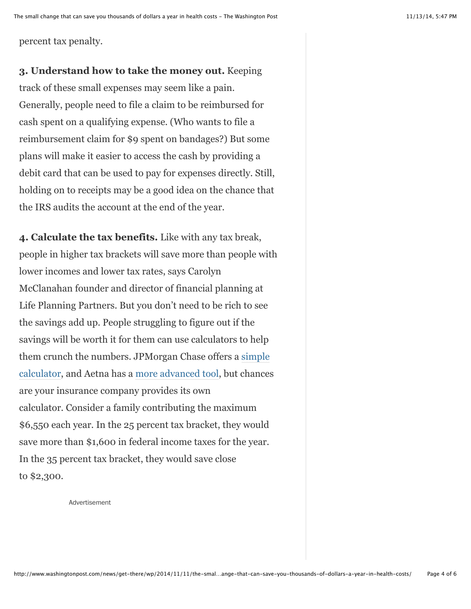percent tax penalty.

**3. Understand how to take the money out.** Keeping track of these small expenses may seem like a pain. Generally, people need to file a claim to be reimbursed for cash spent on a qualifying expense. (Who wants to file a reimbursement claim for \$9 spent on bandages?) But some plans will make it easier to access the cash by providing a debit card that can be used to pay for expenses directly. Still, holding on to receipts may be a good idea on the chance that the IRS audits the account at the end of the year.

**4. Calculate the tax benefits.** Like with any tax break, people in higher tax brackets will save more than people with lower incomes and lower tax rates, says Carolyn McClanahan founder and director of financial planning at Life Planning Partners. But you don't need to be rich to see the savings add up. People struggling to figure out if the savings will be worth it for them can use calculators to help them crunch the numbers. JPMorgan Chase offers a simple [calculator, and Aetna has a more advanced tool, but chances](https://www.jpmorgan.com/treasury/demo/hsa/calculatormobile/chaseHome.html) are your insurance company provides its own calculator. Consider a family contributing the maximum \$6,550 each year. In the 25 percent tax bracket, they would save more than \$1,600 in federal income taxes for the year. In the 35 percent tax bracket, they would save close to \$2,300.

Advertisement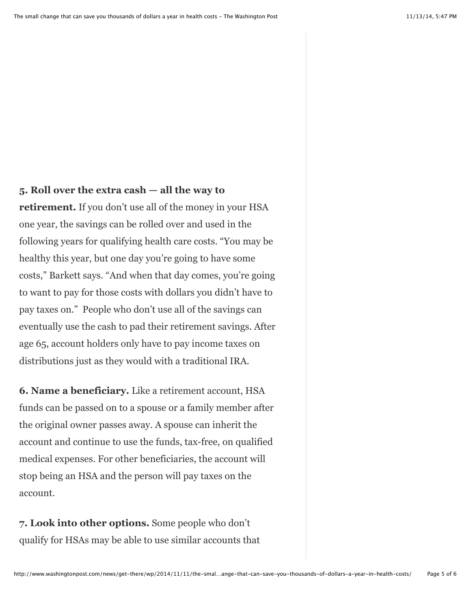# **5. Roll over the extra cash — all the way to**

**retirement.** If you don't use all of the money in your HSA one year, the savings can be rolled over and used in the following years for qualifying health care costs. "You may be healthy this year, but one day you're going to have some costs," Barkett says. "And when that day comes, you're going to want to pay for those costs with dollars you didn't have to pay taxes on." People who don't use all of the savings can eventually use the cash to pad their retirement savings. After age 65, account holders only have to pay income taxes on distributions just as they would with a traditional IRA.

**6. Name a beneficiary.** Like a retirement account, HSA funds can be passed on to a spouse or a family member after the original owner passes away. A spouse can inherit the account and continue to use the funds, tax-free, on qualified medical expenses. For other beneficiaries, the account will stop being an HSA and the person will pay taxes on the account.

**7. Look into other options.** Some people who don't qualify for HSAs may be able to use similar accounts that